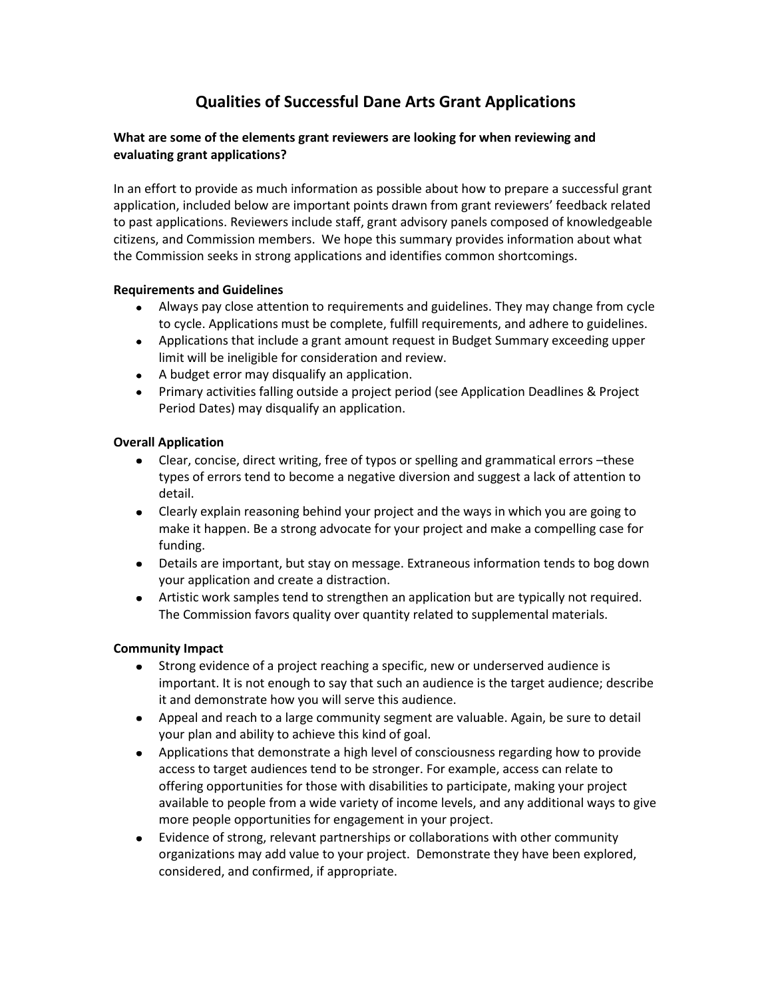# **Qualities of Successful Dane Arts Grant Applications**

## **What are some of the elements grant reviewers are looking for when reviewing and evaluating grant applications?**

In an effort to provide as much information as possible about how to prepare a successful grant application, included below are important points drawn from grant reviewers' feedback related to past applications. Reviewers include staff, grant advisory panels composed of knowledgeable citizens, and Commission members. We hope this summary provides information about what the Commission seeks in strong applications and identifies common shortcomings.

## **Requirements and Guidelines**

- Always pay close attention to requirements and guidelines. They may change from cycle to cycle. Applications must be complete, fulfill requirements, and adhere to guidelines.
- Applications that include a grant amount request in Budget Summary exceeding upper limit will be ineligible for consideration and review.
- A budget error may disqualify an application.
- Primary activities falling outside a project period (see Application Deadlines & Project Period Dates) may disqualify an application.

## **Overall Application**

- Clear, concise, direct writing, free of typos or spelling and grammatical errors –these types of errors tend to become a negative diversion and suggest a lack of attention to detail.
- Clearly explain reasoning behind your project and the ways in which you are going to make it happen. Be a strong advocate for your project and make a compelling case for funding.
- Details are important, but stay on message. Extraneous information tends to bog down your application and create a distraction.
- Artistic work samples tend to strengthen an application but are typically not required. The Commission favors quality over quantity related to supplemental materials.

## **Community Impact**

- Strong evidence of a project reaching a specific, new or underserved audience is important. It is not enough to say that such an audience is the target audience; describe it and demonstrate how you will serve this audience.
- Appeal and reach to a large community segment are valuable. Again, be sure to detail your plan and ability to achieve this kind of goal.
- Applications that demonstrate a high level of consciousness regarding how to provide access to target audiences tend to be stronger. For example, access can relate to offering opportunities for those with disabilities to participate, making your project available to people from a wide variety of income levels, and any additional ways to give more people opportunities for engagement in your project.
- Evidence of strong, relevant partnerships or collaborations with other community organizations may add value to your project. Demonstrate they have been explored, considered, and confirmed, if appropriate.